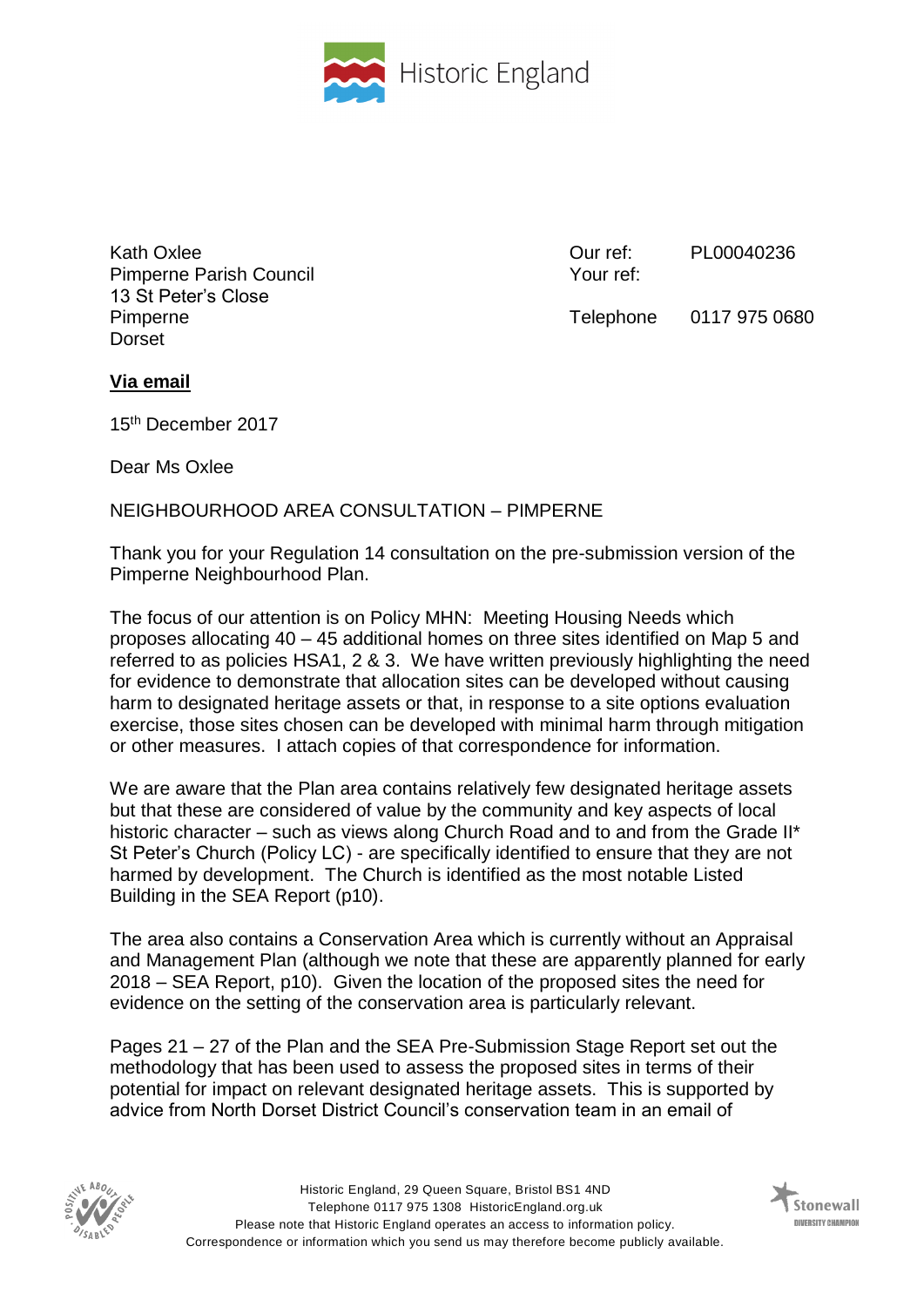

Kath Oxlee Pimperne Parish Council 13 St Peter's Close Pimperne Dorset

Our ref: Your ref: PL00040236

Telephone 0117 975 0680

## **Via email**

15th December 2017

Dear Ms Oxlee

## NEIGHBOURHOOD AREA CONSULTATION – PIMPERNE

Thank you for your Regulation 14 consultation on the pre-submission version of the Pimperne Neighbourhood Plan.

The focus of our attention is on Policy MHN: Meeting Housing Needs which proposes allocating 40 – 45 additional homes on three sites identified on Map 5 and referred to as policies HSA1, 2 & 3. We have written previously highlighting the need for evidence to demonstrate that allocation sites can be developed without causing harm to designated heritage assets or that, in response to a site options evaluation exercise, those sites chosen can be developed with minimal harm through mitigation or other measures. I attach copies of that correspondence for information.

We are aware that the Plan area contains relatively few designated heritage assets but that these are considered of value by the community and key aspects of local historic character – such as views along Church Road and to and from the Grade II<sup>\*</sup> St Peter's Church (Policy LC) - are specifically identified to ensure that they are not harmed by development. The Church is identified as the most notable Listed Building in the SEA Report (p10).

The area also contains a Conservation Area which is currently without an Appraisal and Management Plan (although we note that these are apparently planned for early 2018 – SEA Report, p10). Given the location of the proposed sites the need for evidence on the setting of the conservation area is particularly relevant.

Pages 21 – 27 of the Plan and the SEA Pre-Submission Stage Report set out the methodology that has been used to assess the proposed sites in terms of their potential for impact on relevant designated heritage assets. This is supported by advice from North Dorset District Council's conservation team in an email of